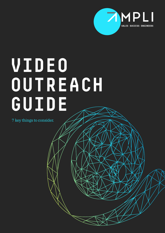

# **VIDEO OUTREACH GUIDE**

7 key things to consider.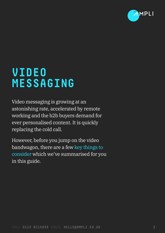

## **VIDEO MESSAGING**

Video messaging is growing at an astonishing rate, accelerated by remote working and the b2b buyers demand for ever personalised content. It is quickly replacing the cold call.

However, before you jump on the video bandwagon, there are a few key things to consider which we've summarised for you in this guide.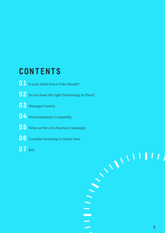### **CONTENTS**

- Is your Sales Force Video Ready?
- Do you have the right Technology in Place?
- Message Content.
- Personalisation vs Quantity.
- Video as Part of a Nurture Campaign.
- Consider Investing in Intent Data.
- ROI.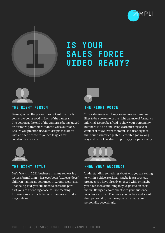

### **IS YOUR SALES FORCE VIDEO READY?**



**THE RIGHT PERSON** 

**1**

Being good on the phone does not automatically convert to being good in front of the camera. The person at the end of the camera is being judged on far more parameters than via voice outreach. Ensure you practice, use auto-scripts to start off with and send these to your colleagues for constructive criticism.



#### **THE RIGHT STYLE**

Let's face it, in 2021 business in many sectors is a lot less formal than it has ever been (e.g., cats/dogs/ children making appearances in Zoom Meetings!). That being said, you still need to dress the part as if you are attending a face-to-face meeting. Impressions are made faster on camera, so make it a good one.



### **THE RIGHT VOICE**

Your sales team will likely know how your market likes to be spoken to in the right balance of formal vs informal. Do not be afraid to show your personality but there is a fine line! People are missing social contact at this current moment, so a friendly face that sounds knowledgeable & credible goes a long way and do not be afraid to portray your personality.



#### **KNOW YOUR AUDIENCE**

Understanding something about who you are selling to within a video is critical. Maybe it is a previous prospect you have already engaged with, or maybe you have seen something they've posted on social media. Being able to connect with your audience in video is critical. The more you understand about their personality the more you can adapt your personality accordingly.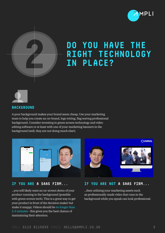



### **DO YOU HAVE THE RIGHT TECHNOLOGY IN PLACE?**



#### **BACKGROUND**

A poor background makes your brand seem cheap. Use your marketing team to help you create an on-brand, logo totting, flag waving professional background. Consider investing in green screen technology and video editing software or at least with one of your marketing banners in the background (well, they are not doing much else!).



#### **IF YOU ARE A SAAS FIRM...**

...you will likely want an on-screen demo of your product running in the background (possible with green screen tech). This is a great way to get your product in front of the decision maker but make it snappy. Videos should be no longer than 2-3 minutes - this gives you the best chance of maintaining their attention.



### **IF YOU ARE NOT A SAAS FIRM...**

...then utilising your marketing assets such as professionally made video that runs in the background while you speak can look professional.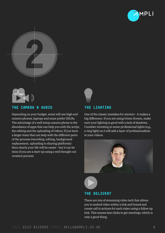





#### **THE CAMERA & AUDIO**

Depending on your budget, some will use high end camera phones, laptops and some prefer DSLRs. The advantage of a well setup camera phone is the abundance of apps that can help you with the script, the editing and the uploading of videos. If you have a larger team that can help with the different parts of the process (recording, editing, background replacement, uploading to sharing platforms) then clearly your life will be easier - but it can be done if you are a start-up using a well thought out creation process.

#### **THE LIGHTING**

One of the classic mistakes for starters - it makes a big difference. If you are using Green Screen, make sure your lighting is good with a lack of shadows. Consider investing in some professional lights (e.g., a ring light) as it will add a layer of professionalism to your videos.





#### **THE DELIVERY**

There are lots of streaming video tech that allows you to embed video within a link and brand and create call to actions for each video using a follow up link. This means less clicks to get meetings, which is only a good thing.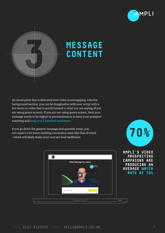



### **MESSAGE CONTENT**

An email pitch that is delivered over video is unengaging. Like the background section, you can be imaginative with your script with a live demo or video that is synchronised to what you are saying (if you are using green screen). If you are not using green screen, then your message needs to be higher in personalisation to keep your prospect watching and keep it to 2 minutes maximum.

If you go down the generic message and quantity route, you can expect a lot lower meeting conversion rates like that of email - which will likely make your cost per lead inefficient.



**70%**

**AMPLI'S VIDEO PROSPECTING CAMPAIGNS ARE PRODUCING AN AVERAGE WATCH RATE OF 70%**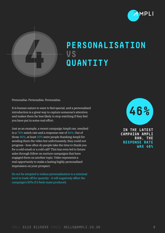



### **PERSONALISATION VS QUANTITY**

Personalise. Personalise. Personalise.

It is human nature to want to feel special, and a personalised introduction is a great way to capture someone's attention and makes them far less likely to stop watching if they feel you have put in some real effort.

Just as an example, a recent campaign Ampli ran, resulted in a 76% watch rate and a response rate of 46%. Out of those 46%, at least 10% were people thanking Ampli for sending them the video but unfortunately, they could not progress - how often do people take the time to thank you for a cold email or a cold call? This has even led to future sales through follow on nurture campaigns that have engaged them on another topic. Video represents a real opportunity to make a lasting highly personalised impression on your prospect.

Do not be tempted to reduce personalisation to a minimal level in trade off for quantity - it will negatively affect the campaign's KPIs if it feels mass produced.

**46%**

**IN THE LATEST CAMPAIGN AMPLI RAN, THE RESPONSE RATE WAS 46%**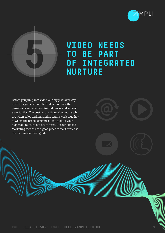



### **VIDEO NEEDS TO BE PART OF INTEGRATED NURTURE**

Before you jump into video, our biggest takeaway from this guide should be that video is not the panacea or replacement to cold, mass and generic sales tactics. The best results from video outreach are when sales and marketing teams work together to warm the prospect using all the tools at your disposal - nurture not brute force. Account Based Marketing tactics are a good place to start, which is the focus of our next guide.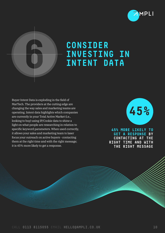



### **CONSIDER INVESTING IN INTENT DATA**

Buyer Intent Data is exploding in the field of MarTech. The providers at the cutting edge are changing the way sales and marketing teams are operating. Intent data highlights which companies are currently in your Total Active Market (i.e., looking to buy) using IP/Cookie data to shine a light on what people are researching in relation to specific keyword parameters. When used correctly, it allows your sales and marketing team to laser focus your outreach on active buyers - contacting them at the right time and with the right message; it is 45% more likely to get a response.



**45% MORE LIKELY TO GET A RESPONSE BY CONTACTING AT THE RIGHT TIME AND WITH THE RIGHT MESSAGE**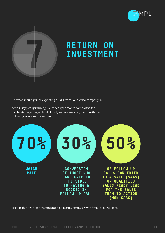



### **RETURN ON INVESTMENT**

So, what should you be expecting as ROI from your Video campaigns?

Ampli is typically running 250 videos per month campaigns for its clients, targeting a blend of cold, and warm data (intent) with the following average conversions:



Results that are fit for the times and delivering strong growth for all of our clients.